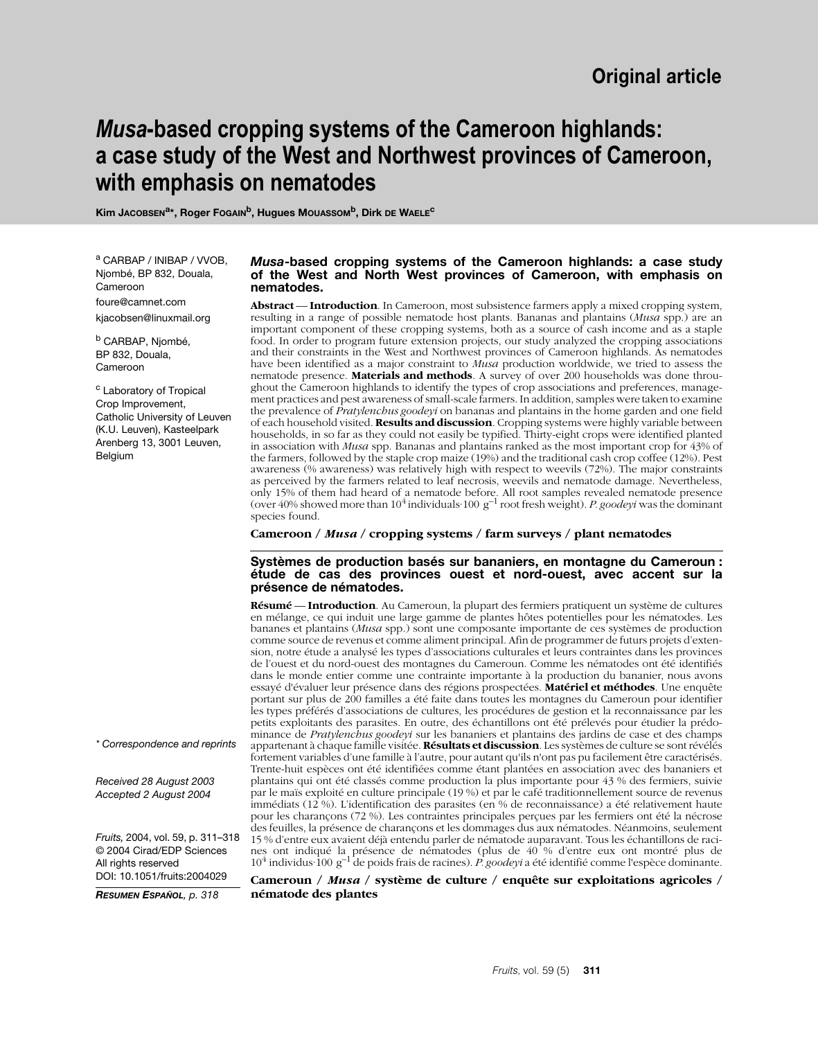# *Musa***-based cropping systems of the Cameroon highlands: a case study of the West and Northwest provinces of Cameroon, with emphasis on nematodes**

Kim JACOBSEN<sup>a\*</sup>, Roger FOGAIN<sup>b</sup>, Hugues MOUASSOM<sup>b</sup>, Dirk DE WAELE<sup>C</sup>

<sup>a</sup> CARBAP / INIBAP / VVOB, Njombé, BP 832, Douala, Cameroon foure@camnet.com kjacobsen@linuxmail.org

<sup>b</sup> CARBAP, Njombé, BP 832, Douala, Cameroon

<sup>c</sup> Laboratory of Tropical Crop Improvement, Catholic University of Leuven (K.U. Leuven), Kasteelpark Arenberg 13, 3001 Leuven, **Belgium** 

### *Musa***-based cropping systems of the Cameroon highlands: a case study of the West and North West provinces of Cameroon, with emphasis on nematodes.**

**Abstract** –– **Introduction**. In Cameroon, most subsistence farmers apply a mixed cropping system, resulting in a range of possible nematode host plants. Bananas and plantains (*Musa* spp.) are an important component of these cropping systems, both as a source of cash income and as a staple food. In order to program future extension projects, our study analyzed the cropping associations and their constraints in the West and Northwest provinces of Cameroon highlands. As nematodes have been identified as a major constraint to *Musa* production worldwide, we tried to assess the nematode presence. **Materials and methods**. A survey of over 200 households was done throughout the Cameroon highlands to identify the types of crop associations and preferences, management practices and pest awareness of small-scale farmers. In addition, samples were taken to examine the prevalence of *Pratylenchus goodeyi* on bananas and plantains in the home garden and one field of each household visited. **Results and discussion**. Cropping systems were highly variable between households, in so far as they could not easily be typified. Thirty-eight crops were identified planted in association with *Musa* spp. Bananas and plantains ranked as the most important crop for 43% of the farmers, followed by the staple crop maize (19%) and the traditional cash crop coffee (12%). Pest awareness (% awareness) was relatively high with respect to weevils (72%). The major constraints as perceived by the farmers related to leaf necrosis, weevils and nematode damage. Nevertheless, only 15% of them had heard of a nematode before. All root samples revealed nematode presence<br>(over 40% showed more than 10<sup>4</sup> individuals<sup>-100</sup> g<sup>-1</sup> root fresh weight). *P. goodeyi* was the dominant species found.

**Cameroon /** *Musa* **/ cropping systems / farm surveys / plant nematodes** 

### **Systèmes de production basés sur bananiers, en montagne du Cameroun : étude de cas des provinces ouest et nord-ouest, avec accent sur la présence de nématodes.**

**Résumé** –– **Introduction**. Au Cameroun, la plupart des fermiers pratiquent un système de cultures en mélange, ce qui induit une large gamme de plantes hôtes potentielles pour les nématodes. Les bananes et plantains (*Musa* spp.) sont une composante importante de ces systèmes de production comme source de revenus et comme aliment principal. Afin de programmer de futurs projets d'extension, notre étude a analysé les types d'associations culturales et leurs contraintes dans les provinces de l'ouest et du nord-ouest des montagnes du Cameroun. Comme les nématodes ont été identifiés dans le monde entier comme une contrainte importante à la production du bananier, nous avons essayé d'évaluer leur présence dans des régions prospectées. **Matériel et méthodes**. Une enquête portant sur plus de 200 familles a été faite dans toutes les montagnes du Cameroun pour identifier les types préférés d'associations de cultures, les procédures de gestion et la reconnaissance par les petits exploitants des parasites. En outre, des échantillons ont été prélevés pour étudier la prédominance de *Pratylenchus goodeyi* sur les bananiers et plantains des jardins de case et des champs appartenant à chaque famille visitée. **Résultats et discussion**. Les systèmes de culture se sont révélés fortement variables d'une famille à l'autre, pour autant qu'ils n'ont pas pu facilement être caractérisés. Trente-huit espèces ont été identifiées comme étant plantées en association avec des bananiers et plantains qui ont été classés comme production la plus importante pour 43 % des fermiers, suivie par le maïs exploité en culture principale (19 %) et par le café traditionnellement source de revenus immédiats (12 %). L'identification des parasites (en % de reconnaissance) a été relativement haute pour les charançons (72 %). Les contraintes principales perçues par les fermiers ont été la nécrose des feuilles, la présence de charançons et les dommages dus aux nématodes. Néanmoins, seulement 15 % d'entre eux avaient déjà entendu parler de nématode auparavant. Tous les échantillons de racines ont indiqué la présence de nématodes (plus de 40 % d'entre eux ont montré plus de 10<sup>4</sup> individus<sup>.</sup> 100 g<sup>-1</sup> de poids frais de racines). *P. goodeyi* a été identifié comme l'espèce dominante.

**Cameroun /** *Musa* **/ système de culture / enquête sur exploitations agricoles / nématode des plantes**

*\* Correspondence and reprints*

*Received 28 August 2003 Accepted 2 August 2004*

*Fruits,* 2004, vol. 59, p. 311–318 © 2004 Cirad/EDP Sciences All rights reserved DOI: 10.1051/fruits:2004029

*RESUMEN ESPAÑOL, p. 318*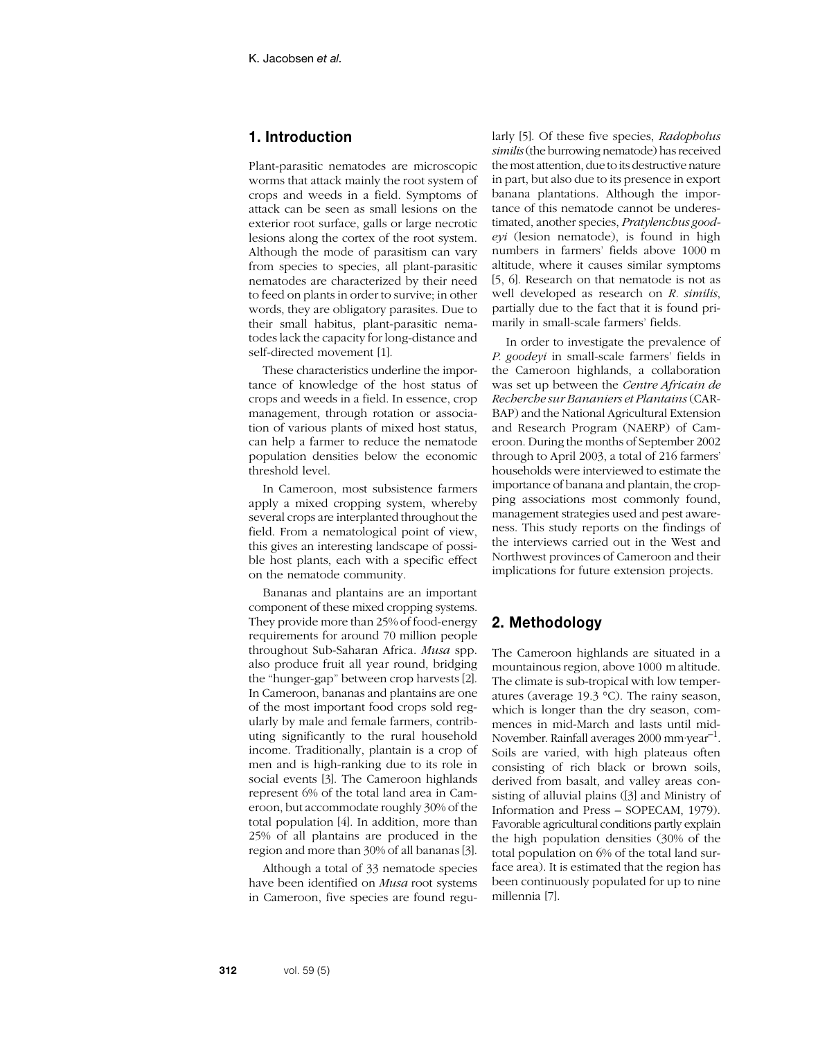# **1. Introduction**

Plant-parasitic nematodes are microscopic worms that attack mainly the root system of crops and weeds in a field. Symptoms of attack can be seen as small lesions on the exterior root surface, galls or large necrotic lesions along the cortex of the root system. Although the mode of parasitism can vary from species to species, all plant-parasitic nematodes are characterized by their need to feed on plants in order to survive; in other words, they are obligatory parasites. Due to their small habitus, plant-parasitic nematodes lack the capacity for long-distance and self-directed movement [1].

These characteristics underline the importance of knowledge of the host status of crops and weeds in a field. In essence, crop management, through rotation or association of various plants of mixed host status, can help a farmer to reduce the nematode population densities below the economic threshold level.

In Cameroon, most subsistence farmers apply a mixed cropping system, whereby several crops are interplanted throughout the field. From a nematological point of view, this gives an interesting landscape of possible host plants, each with a specific effect on the nematode community.

Bananas and plantains are an important component of these mixed cropping systems. They provide more than 25% of food-energy requirements for around 70 million people throughout Sub-Saharan Africa. *Musa* spp. also produce fruit all year round, bridging the "hunger-gap" between crop harvests [2]. In Cameroon, bananas and plantains are one of the most important food crops sold regularly by male and female farmers, contributing significantly to the rural household income. Traditionally, plantain is a crop of men and is high-ranking due to its role in social events [3]. The Cameroon highlands represent 6% of the total land area in Cameroon, but accommodate roughly 30% of the total population [4]. In addition, more than 25% of all plantains are produced in the region and more than 30% of all bananas [3].

Although a total of 33 nematode species have been identified on *Musa* root systems in Cameroon, five species are found regularly [5]. Of these five species, *Radopholus similis* (the burrowing nematode) has received the most attention, due to its destructive nature in part, but also due to its presence in export banana plantations. Although the importance of this nematode cannot be underestimated, another species, *Pratylenchus goodeyi* (lesion nematode), is found in high numbers in farmers' fields above 1000 m altitude, where it causes similar symptoms [5, 6]. Research on that nematode is not as well developed as research on *R. similis*, partially due to the fact that it is found primarily in small-scale farmers' fields.

In order to investigate the prevalence of *P. goodeyi* in small-scale farmers' fields in the Cameroon highlands, a collaboration was set up between the *Centre Africain de Recherche sur Bananiers et Plantains* (CAR-BAP) and the National Agricultural Extension and Research Program (NAERP) of Cameroon. During the months of September 2002 through to April 2003, a total of 216 farmers' households were interviewed to estimate the importance of banana and plantain, the cropping associations most commonly found, management strategies used and pest awareness. This study reports on the findings of the interviews carried out in the West and Northwest provinces of Cameroon and their implications for future extension projects.

# **2. Methodology**

The Cameroon highlands are situated in a mountainous region, above 1000 m altitude. The climate is sub-tropical with low temperatures (average 19.3 °C). The rainy season, which is longer than the dry season, commences in mid-March and lasts until mid-November. Rainfall averages 2000 mm·year<sup>-1</sup>. Soils are varied, with high plateaus often consisting of rich black or brown soils, derived from basalt, and valley areas consisting of alluvial plains ([3] and Ministry of Information and Press – SOPECAM, 1979). Favorable agricultural conditions partly explain the high population densities (30% of the total population on 6% of the total land surface area). It is estimated that the region has been continuously populated for up to nine millennia [7].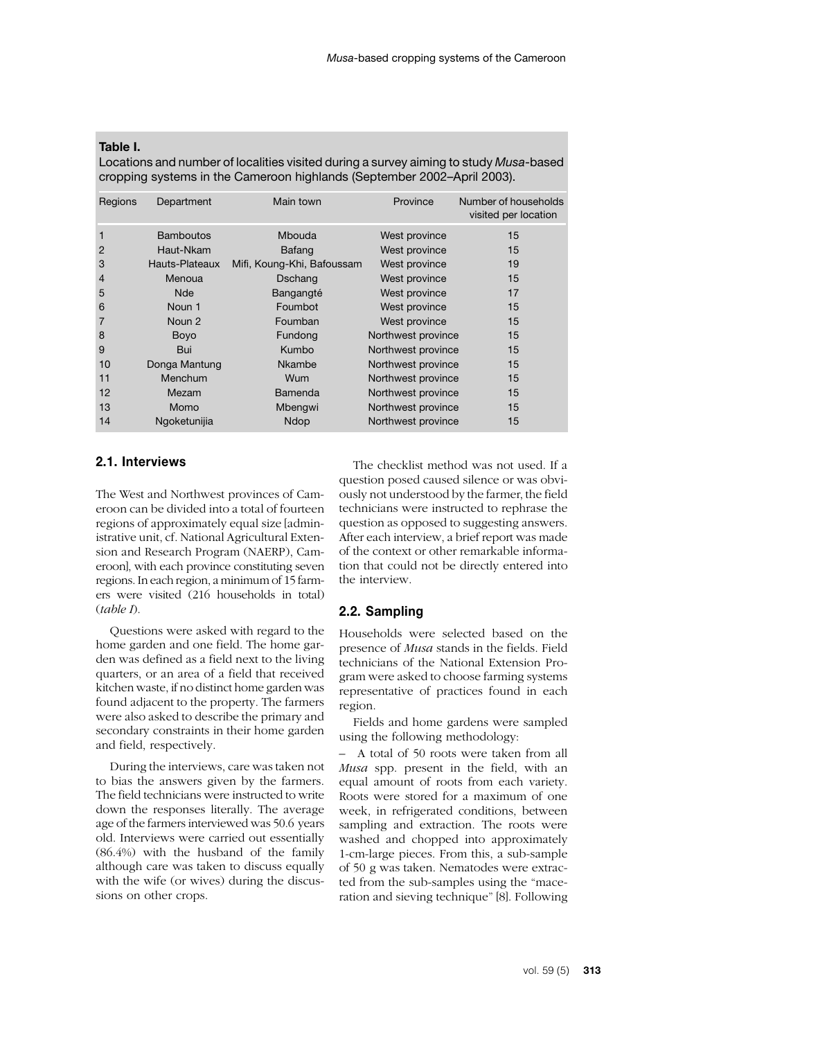### **Table I.**

Locations and number of localities visited during a survey aiming to study *Musa*-based cropping systems in the Cameroon highlands (September 2002–April 2003).

| Regions        | Department       | Main town                  | Province           | Number of households<br>visited per location |
|----------------|------------------|----------------------------|--------------------|----------------------------------------------|
| 1              | <b>Bamboutos</b> | Mbouda                     | West province      | 15                                           |
| $\overline{2}$ | Haut-Nkam        | <b>Bafang</b>              | West province      | 15                                           |
| 3              | Hauts-Plateaux   | Mifi, Koung-Khi, Bafoussam | West province      | 19                                           |
| $\overline{4}$ | Menoua           | Dschang                    | West province      | 15                                           |
| 5              | <b>Nde</b>       | Bangangté                  | West province      | 17                                           |
| 6              | Noun 1           | Foumbot                    | West province      | 15                                           |
| 7              | Noun 2           | Foumban                    | West province      | 15                                           |
| 8              | Boyo             | Fundong                    | Northwest province | 15                                           |
| 9              | Bui              | Kumbo                      | Northwest province | 15                                           |
| 10             | Donga Mantung    | Nkambe                     | Northwest province | 15                                           |
| 11             | Menchum          | Wum                        | Northwest province | 15                                           |
| 12             | Mezam            | <b>Bamenda</b>             | Northwest province | 15                                           |
| 13             | Momo             | Mbengwi                    | Northwest province | 15                                           |
| 14             | Ngoketunijia     | Ndop                       | Northwest province | 15                                           |

### **2.1. Interviews**

The West and Northwest provinces of Cameroon can be divided into a total of fourteen regions of approximately equal size [administrative unit, cf. National Agricultural Extension and Research Program (NAERP), Cameroon], with each province constituting seven regions. In each region, a minimum of 15 farmers were visited (216 households in total) (*table I*).

Questions were asked with regard to the home garden and one field. The home garden was defined as a field next to the living quarters, or an area of a field that received kitchen waste, if no distinct home garden was found adjacent to the property. The farmers were also asked to describe the primary and secondary constraints in their home garden and field, respectively.

During the interviews, care was taken not to bias the answers given by the farmers. The field technicians were instructed to write down the responses literally. The average age of the farmers interviewed was 50.6 years old. Interviews were carried out essentially (86.4%) with the husband of the family although care was taken to discuss equally with the wife (or wives) during the discussions on other crops.

The checklist method was not used. If a question posed caused silence or was obviously not understood by the farmer, the field technicians were instructed to rephrase the question as opposed to suggesting answers. After each interview, a brief report was made of the context or other remarkable information that could not be directly entered into the interview.

### **2.2. Sampling**

Households were selected based on the presence of *Musa* stands in the fields. Field technicians of the National Extension Program were asked to choose farming systems representative of practices found in each region.

Fields and home gardens were sampled using the following methodology:

– A total of 50 roots were taken from all *Musa* spp. present in the field, with an equal amount of roots from each variety. Roots were stored for a maximum of one week, in refrigerated conditions, between sampling and extraction. The roots were washed and chopped into approximately 1-cm-large pieces. From this, a sub-sample of 50 g was taken. Nematodes were extracted from the sub-samples using the "maceration and sieving technique" [8]. Following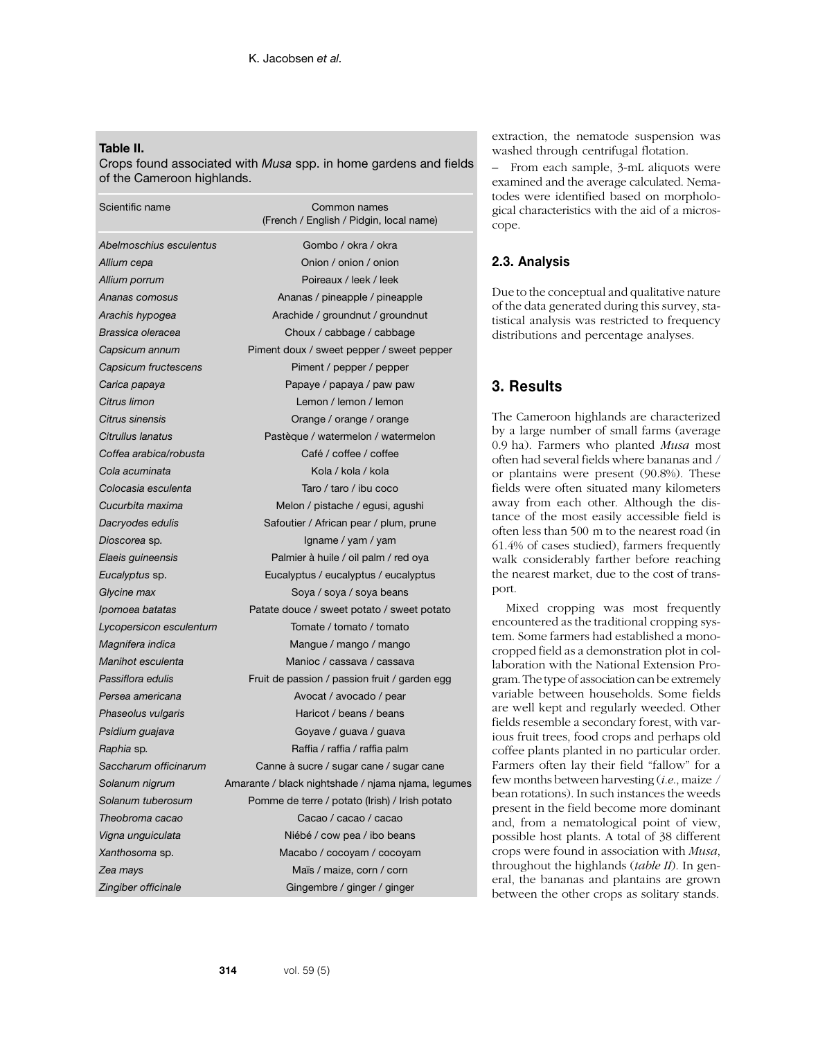#### **Table II.**

Crops found associated with *Musa* spp. in home gardens and fields of the Cameroon highlands.

| Scientific name         | Common names<br>(French / English / Pidgin, local name) |  |  |  |
|-------------------------|---------------------------------------------------------|--|--|--|
| Abelmoschius esculentus | Gombo / okra / okra                                     |  |  |  |
| Allium cepa             | Onion / onion / onion                                   |  |  |  |
| Allium porrum           | Poireaux / leek / leek                                  |  |  |  |
| Ananas comosus          | Ananas / pineapple / pineapple                          |  |  |  |
| Arachis hypogea         | Arachide / groundnut / groundnut                        |  |  |  |
| Brassica oleracea       | Choux / cabbage / cabbage                               |  |  |  |
| Capsicum annum          | Piment doux / sweet pepper / sweet pepper               |  |  |  |
| Capsicum fructescens    | Piment / pepper / pepper                                |  |  |  |
| Carica papaya           | Papaye / papaya / paw paw                               |  |  |  |
| Citrus limon            | Lemon / lemon / lemon                                   |  |  |  |
| Citrus sinensis         | Orange / orange / orange                                |  |  |  |
| Citrullus lanatus       | Pastèque / watermelon / watermelon                      |  |  |  |
| Coffea arabica/robusta  | Café / coffee / coffee                                  |  |  |  |
| Cola acuminata          | Kola / kola / kola                                      |  |  |  |
| Colocasia esculenta     | Taro / taro / ibu coco                                  |  |  |  |
| Cucurbita maxima        | Melon / pistache / egusi, agushi                        |  |  |  |
| Dacryodes edulis        | Safoutier / African pear / plum, prune                  |  |  |  |
| Dioscorea sp.           | Igname / yam / yam                                      |  |  |  |
| Elaeis guineensis       | Palmier à huile / oil palm / red oya                    |  |  |  |
| Eucalyptus sp.          | Eucalyptus / eucalyptus / eucalyptus                    |  |  |  |
| Glycine max             | Soya / soya / soya beans                                |  |  |  |
| Ipomoea batatas         | Patate douce / sweet potato / sweet potato              |  |  |  |
| Lycopersicon esculentum | Tomate / tomato / tomato                                |  |  |  |
| Magnifera indica        | Mangue / mango / mango                                  |  |  |  |
| Manihot esculenta       | Manioc / cassava / cassava                              |  |  |  |
| Passiflora edulis       | Fruit de passion / passion fruit / garden egg           |  |  |  |
| Persea americana        | Avocat / avocado / pear                                 |  |  |  |
| Phaseolus vulgaris      | Haricot / beans / beans                                 |  |  |  |
| Psidium guajava         | Goyave / guava / guava                                  |  |  |  |
| Raphia sp.              | Raffia / raffia / raffia palm                           |  |  |  |
| Saccharum officinarum   | Canne à sucre / sugar cane / sugar cane                 |  |  |  |
| Solanum nigrum          | Amarante / black nightshade / njama njama, legumes      |  |  |  |
| Solanum tuberosum       | Pomme de terre / potato (Irish) / Irish potato          |  |  |  |
| Theobroma cacao         | Cacao / cacao / cacao                                   |  |  |  |
| Vigna unguiculata       | Niébé / cow pea / ibo beans                             |  |  |  |
| <i>Xanthosoma s</i> p.  | Macabo / cocoyam / cocoyam                              |  |  |  |
| Zea mays                | Maïs / maize, corn / corn                               |  |  |  |
| Zingiber officinale     | Gingembre / ginger / ginger                             |  |  |  |

extraction, the nematode suspension was washed through centrifugal flotation.

– From each sample, 3-mL aliquots were examined and the average calculated. Nematodes were identified based on morphological characteristics with the aid of a microscope.

## **2.3. Analysis**

Due to the conceptual and qualitative nature of the data generated during this survey, statistical analysis was restricted to frequency distributions and percentage analyses.

# **3. Results**

The Cameroon highlands are characterized by a large number of small farms (average 0.9 ha). Farmers who planted *Musa* most often had several fields where bananas and / or plantains were present (90.8%). These fields were often situated many kilometers away from each other. Although the distance of the most easily accessible field is often less than 500 m to the nearest road (in 61.4% of cases studied), farmers frequently walk considerably farther before reaching the nearest market, due to the cost of transport.

Mixed cropping was most frequently encountered as the traditional cropping system. Some farmers had established a monocropped field as a demonstration plot in collaboration with the National Extension Program. The type of association can be extremely variable between households. Some fields are well kept and regularly weeded. Other fields resemble a secondary forest, with various fruit trees, food crops and perhaps old coffee plants planted in no particular order. Farmers often lay their field "fallow" for a few months between harvesting (*i.e*., maize / bean rotations). In such instances the weeds present in the field become more dominant and, from a nematological point of view, possible host plants. A total of 38 different crops were found in association with *Musa*, throughout the highlands (*table II*). In general, the bananas and plantains are grown between the other crops as solitary stands.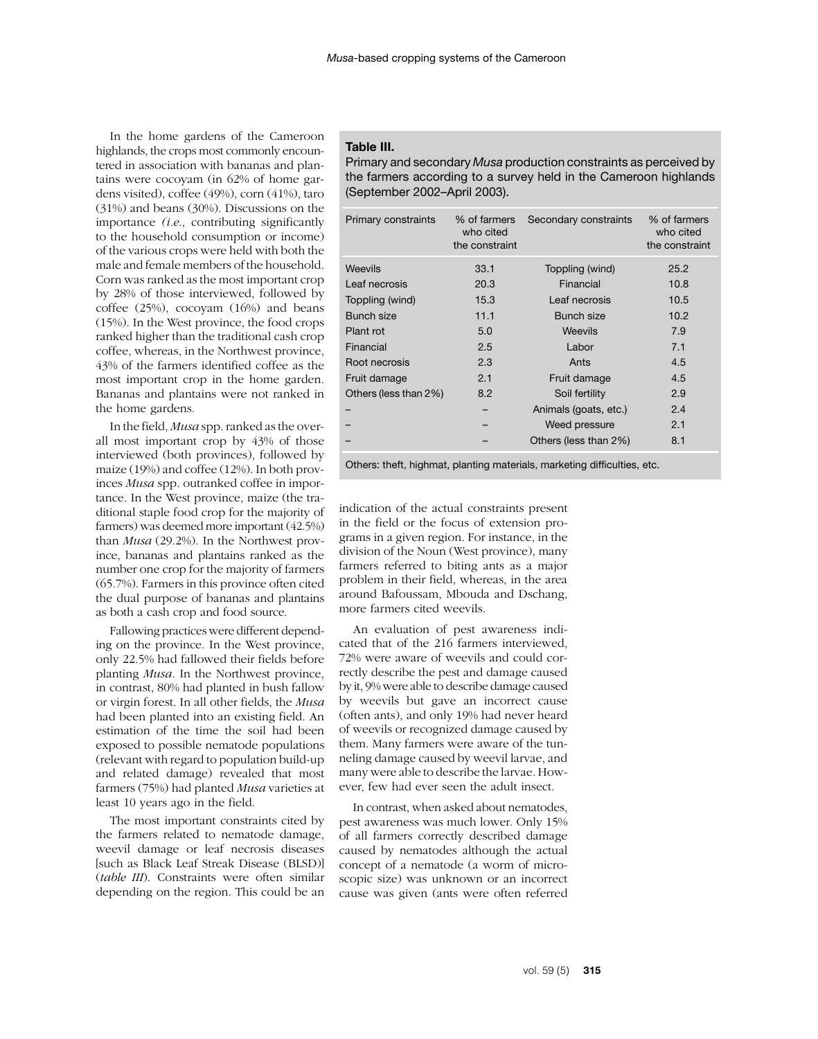In the home gardens of the Cameroon highlands, the crops most commonly encountered in association with bananas and plantains were cocoyam (in 62% of home gardens visited), coffee (49%), corn (41%), taro (31%) and beans (30%). Discussions on the importance *(i.e*., contributing significantly to the household consumption or income) of the various crops were held with both the male and female members of the household. Corn was ranked as the most important crop by 28% of those interviewed, followed by coffee (25%), cocoyam (16%) and beans (15%). In the West province, the food crops ranked higher than the traditional cash crop coffee, whereas, in the Northwest province, 43% of the farmers identified coffee as the most important crop in the home garden. Bananas and plantains were not ranked in the home gardens.

In the field, *Musa* spp. ranked as the overall most important crop by 43% of those interviewed (both provinces), followed by maize (19%) and coffee (12%). In both provinces *Musa* spp. outranked coffee in importance. In the West province, maize (the traditional staple food crop for the majority of farmers) was deemed more important (42.5%) than *Musa* (29.2%). In the Northwest province, bananas and plantains ranked as the number one crop for the majority of farmers (65.7%). Farmers in this province often cited the dual purpose of bananas and plantains as both a cash crop and food source.

Fallowing practices were different depending on the province. In the West province, only 22.5% had fallowed their fields before planting *Musa*. In the Northwest province, in contrast, 80% had planted in bush fallow or virgin forest. In all other fields, the *Musa* had been planted into an existing field. An estimation of the time the soil had been exposed to possible nematode populations (relevant with regard to population build-up and related damage) revealed that most farmers (75%) had planted *Musa* varieties at least 10 years ago in the field.

The most important constraints cited by the farmers related to nematode damage, weevil damage or leaf necrosis diseases [such as Black Leaf Streak Disease (BLSD)] (*table III*). Constraints were often similar depending on the region. This could be an

#### **Table III.**

Primary and secondary *Musa* production constraints as perceived by the farmers according to a survey held in the Cameroon highlands (September 2002–April 2003).

| Primary constraints   | % of farmers<br>who cited<br>the constraint | Secondary constraints | % of farmers<br>who cited<br>the constraint |
|-----------------------|---------------------------------------------|-----------------------|---------------------------------------------|
| <b>Weevils</b>        | 33.1                                        | Toppling (wind)       | 25.2                                        |
| Leaf necrosis         | 20.3                                        | Financial             | 10.8                                        |
| Toppling (wind)       | 15.3                                        | Leaf necrosis         | 10.5                                        |
| Bunch size            | 11.1                                        | Bunch size            | 10.2                                        |
| Plant rot             | 5.0                                         | <b>Weevils</b>        | 7.9                                         |
| Financial             | 2.5                                         | Labor                 | 7.1                                         |
| Root necrosis         | 2.3                                         | Ants                  | 4.5                                         |
| Fruit damage          | 2.1                                         | Fruit damage          | 4.5                                         |
| Others (less than 2%) | 8.2                                         | Soil fertility        | 2.9                                         |
|                       |                                             | Animals (goats, etc.) | 2.4                                         |
|                       |                                             | Weed pressure         | 2.1                                         |
|                       |                                             | Others (less than 2%) | 8.1                                         |

Others: theft, highmat, planting materials, marketing difficulties, etc.

indication of the actual constraints present in the field or the focus of extension programs in a given region. For instance, in the division of the Noun (West province), many farmers referred to biting ants as a major problem in their field, whereas, in the area around Bafoussam, Mbouda and Dschang, more farmers cited weevils.

An evaluation of pest awareness indicated that of the 216 farmers interviewed, 72% were aware of weevils and could correctly describe the pest and damage caused by it, 9% were able to describe damage caused by weevils but gave an incorrect cause (often ants), and only 19% had never heard of weevils or recognized damage caused by them. Many farmers were aware of the tunneling damage caused by weevil larvae, and many were able to describe the larvae. However, few had ever seen the adult insect.

In contrast, when asked about nematodes, pest awareness was much lower. Only 15% of all farmers correctly described damage caused by nematodes although the actual concept of a nematode (a worm of microscopic size) was unknown or an incorrect cause was given (ants were often referred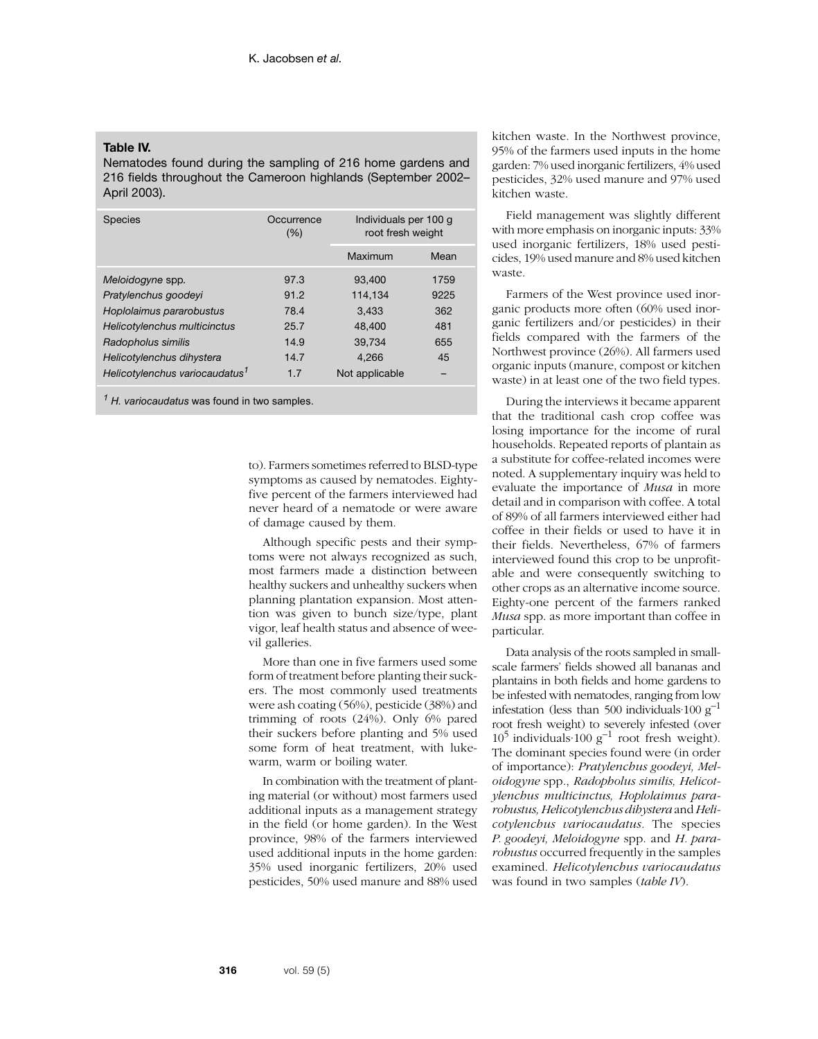### **Table IV.**

Nematodes found during the sampling of 216 home gardens and 216 fields throughout the Cameroon highlands (September 2002– April 2003).

| <b>Species</b>                             | Occurrence<br>(%) | Individuals per 100 g<br>root fresh weight |      |
|--------------------------------------------|-------------------|--------------------------------------------|------|
|                                            |                   | Maximum                                    | Mean |
| Meloidogyne spp.                           | 97.3              | 93,400                                     | 1759 |
| Pratylenchus goodeyi                       | 91.2              | 114.134                                    | 9225 |
| Hoplolaimus pararobustus                   | 78.4              | 3,433                                      | 362  |
| Helicotylenchus multicinctus               | 25.7              | 48,400                                     | 481  |
| Radopholus similis                         | 14.9              | 39.734                                     | 655  |
| Helicotylenchus dihystera                  | 14.7              | 4.266                                      | 45   |
| Helicotylenchus variocaudatus <sup>1</sup> | 1.7               | Not applicable                             |      |

*<sup>1</sup> H. variocaudatus* was found in two samples.

to). Farmers sometimes referred to BLSD-type symptoms as caused by nematodes. Eightyfive percent of the farmers interviewed had never heard of a nematode or were aware of damage caused by them.

Although specific pests and their symptoms were not always recognized as such, most farmers made a distinction between healthy suckers and unhealthy suckers when planning plantation expansion. Most attention was given to bunch size/type, plant vigor, leaf health status and absence of weevil galleries.

More than one in five farmers used some form of treatment before planting their suckers. The most commonly used treatments were ash coating (56%), pesticide (38%) and trimming of roots (24%). Only 6% pared their suckers before planting and 5% used some form of heat treatment, with lukewarm, warm or boiling water.

In combination with the treatment of planting material (or without) most farmers used additional inputs as a management strategy in the field (or home garden). In the West province, 98% of the farmers interviewed used additional inputs in the home garden: 35% used inorganic fertilizers, 20% used pesticides, 50% used manure and 88% used kitchen waste. In the Northwest province, 95% of the farmers used inputs in the home garden: 7% used inorganic fertilizers, 4% used pesticides, 32% used manure and 97% used kitchen waste.

Field management was slightly different with more emphasis on inorganic inputs: 33% used inorganic fertilizers, 18% used pesticides, 19% used manure and 8% used kitchen waste.

Farmers of the West province used inorganic products more often (60% used inorganic fertilizers and/or pesticides) in their fields compared with the farmers of the Northwest province (26%). All farmers used organic inputs (manure, compost or kitchen waste) in at least one of the two field types.

During the interviews it became apparent that the traditional cash crop coffee was losing importance for the income of rural households. Repeated reports of plantain as a substitute for coffee-related incomes were noted. A supplementary inquiry was held to evaluate the importance of *Musa* in more detail and in comparison with coffee. A total of 89% of all farmers interviewed either had coffee in their fields or used to have it in their fields. Nevertheless, 67% of farmers interviewed found this crop to be unprofitable and were consequently switching to other crops as an alternative income source. Eighty-one percent of the farmers ranked *Musa* spp. as more important than coffee in particular.

Data analysis of the roots sampled in smallscale farmers' fields showed all bananas and plantains in both fields and home gardens to be infested with nematodes, ranging from low infestation (less than 500 individuals 100  $g^{-1}$ root fresh weight) to severely infested (over  $10^5$  individuals  $100 \text{ g}^{-1}$  root fresh weight). The dominant species found were (in order of importance): *Pratylenchus goodeyi, Meloidogyne* spp., *Radopholus similis, Helicotylenchus multicinctus, Hoplolaimus pararobustus, Helicotylenchus dihystera* and *Helicotylenchus variocaudatus.* The species *P. goodeyi, Meloidogyne* spp. and *H. pararobustus* occurred frequently in the samples examined. *Helicotylenchus variocaudatus* was found in two samples (*table IV*).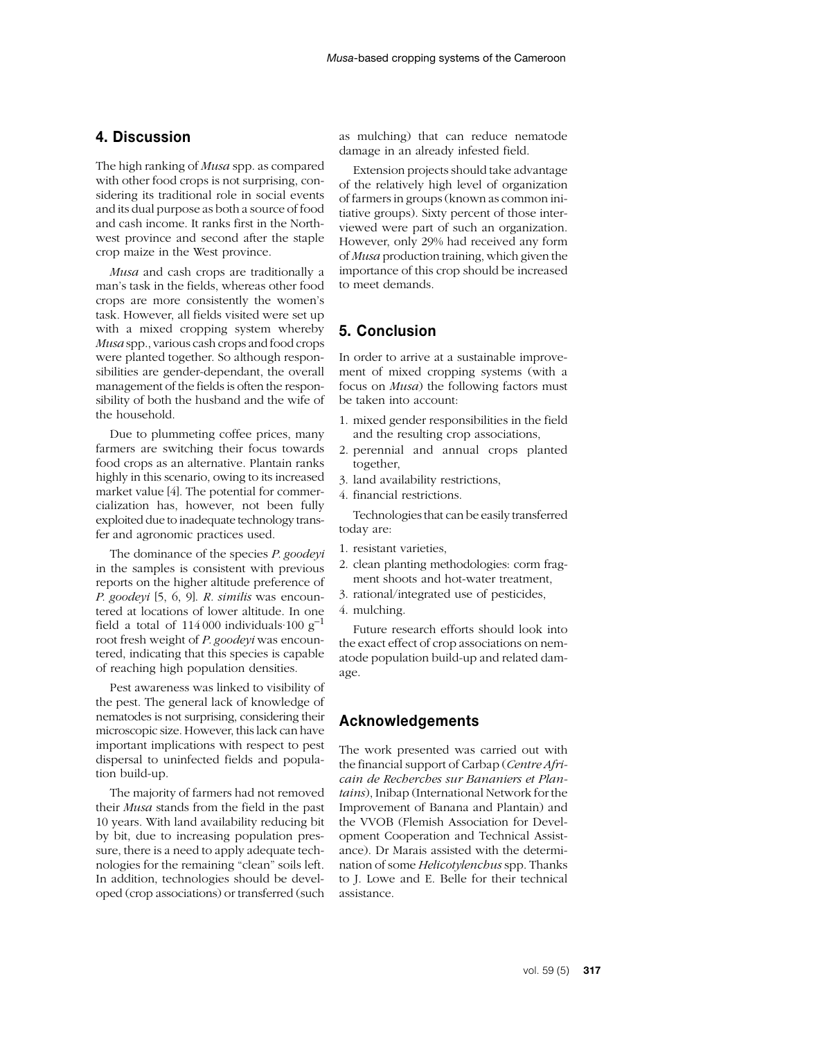# **4. Discussion**

The high ranking of *Musa* spp. as compared with other food crops is not surprising, considering its traditional role in social events and its dual purpose as both a source of food and cash income. It ranks first in the Northwest province and second after the staple crop maize in the West province.

*Musa* and cash crops are traditionally a man's task in the fields, whereas other food crops are more consistently the women's task. However, all fields visited were set up with a mixed cropping system whereby *Musa* spp., various cash crops and food crops were planted together. So although responsibilities are gender-dependant, the overall management of the fields is often the responsibility of both the husband and the wife of the household.

Due to plummeting coffee prices, many farmers are switching their focus towards food crops as an alternative. Plantain ranks highly in this scenario, owing to its increased market value [4]. The potential for commercialization has, however, not been fully exploited due to inadequate technology transfer and agronomic practices used.

The dominance of the species *P. goodeyi* in the samples is consistent with previous reports on the higher altitude preference of *P. goodeyi* [5, 6, 9]. *R. similis* was encountered at locations of lower altitude. In one field a total of  $114\,000$  individuals 100 g<sup>-1</sup> root fresh weight of *P. goodeyi* was encountered, indicating that this species is capable of reaching high population densities.

Pest awareness was linked to visibility of the pest. The general lack of knowledge of nematodes is not surprising, considering their microscopic size. However, this lack can have important implications with respect to pest dispersal to uninfected fields and population build-up.

The majority of farmers had not removed their *Musa* stands from the field in the past 10 years. With land availability reducing bit by bit, due to increasing population pressure, there is a need to apply adequate technologies for the remaining "clean" soils left. In addition, technologies should be developed (crop associations) or transferred (such as mulching) that can reduce nematode damage in an already infested field.

Extension projects should take advantage of the relatively high level of organization of farmers in groups (known as common initiative groups). Sixty percent of those interviewed were part of such an organization. However, only 29% had received any form of *Musa* production training, which given the importance of this crop should be increased to meet demands.

# **5. Conclusion**

In order to arrive at a sustainable improvement of mixed cropping systems (with a focus on *Musa*) the following factors must be taken into account:

- 1. mixed gender responsibilities in the field and the resulting crop associations,
- 2. perennial and annual crops planted together,
- 3. land availability restrictions,
- 4. financial restrictions.

Technologies that can be easily transferred today are:

- 1. resistant varieties,
- 2. clean planting methodologies: corm fragment shoots and hot-water treatment,
- 3. rational/integrated use of pesticides,
- 4. mulching.

Future research efforts should look into the exact effect of crop associations on nematode population build-up and related damage.

# **Acknowledgements**

The work presented was carried out with the financial support of Carbap (*Centre Africain de Recherches sur Bananiers et Plantains*), Inibap (International Network for the Improvement of Banana and Plantain) and the VVOB (Flemish Association for Development Cooperation and Technical Assistance). Dr Marais assisted with the determination of some *Helicotylenchus* spp. Thanks to J. Lowe and E. Belle for their technical assistance.